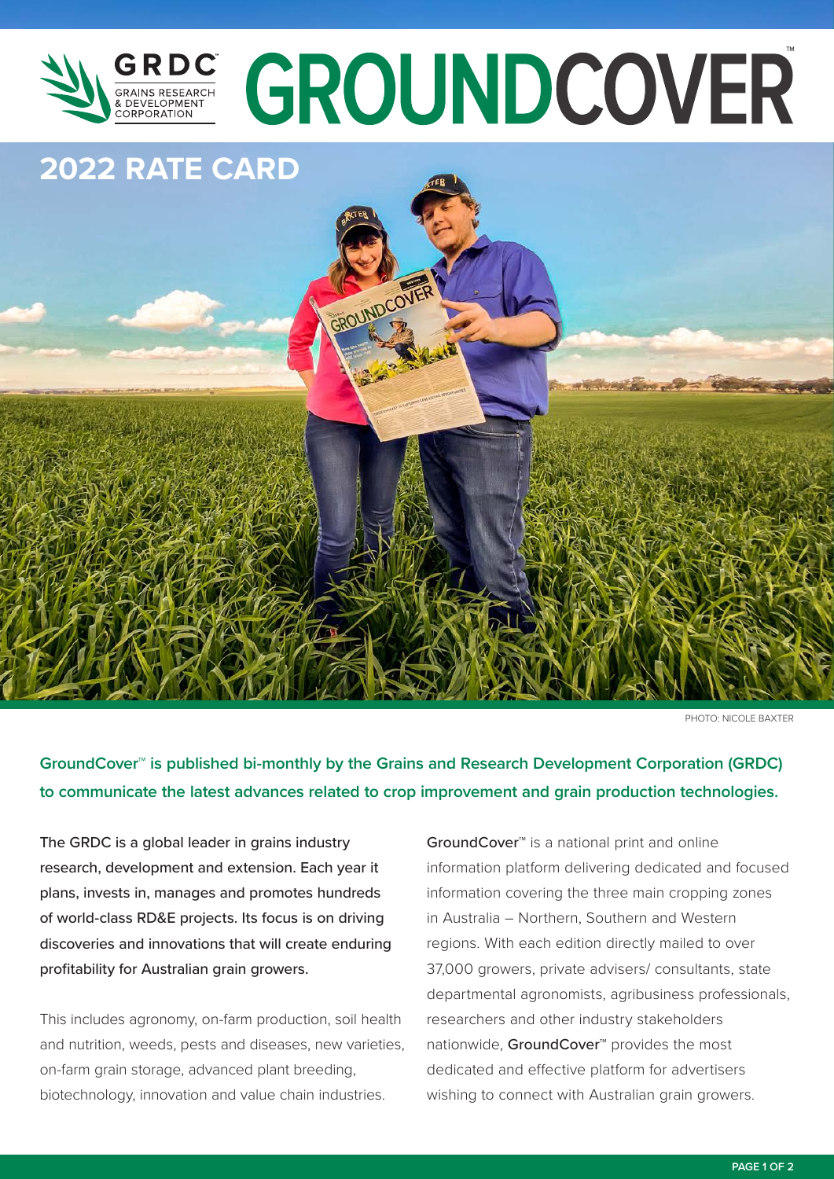

# GRES GROUNDCOVER

## **2022 RATE CARD**



PHOTO: NICOLE BAXTER

**GroundCover™ is published bi-monthly by the Grains and Research Development Corporation (GRDC) to communicate the latest advances related to crop improvement and grain production technologies.**

The GRDC is a global leader in grains industry research, development and extension. Each year it plans, invests in, manages and promotes hundreds of world-class RD&E projects. Its focus is on driving discoveries and innovations that will create enduring profitability for Australian grain growers.

This includes agronomy, on-farm production, soil health and nutrition, weeds, pests and diseases, new varieties, on-farm grain storage, advanced plant breeding, biotechnology, innovation and value chain industries.

GroundCover™ is a national print and online information platform delivering dedicated and focused information covering the three main cropping zones in Australia – Northern, Southern and Western regions. With each edition directly mailed to over 37,000 growers, private advisers/ consultants, state departmental agronomists, agribusiness professionals, researchers and other industry stakeholders nationwide, GroundCover<sup>™</sup> provides the most dedicated and effective platform for advertisers wishing to connect with Australian grain growers.